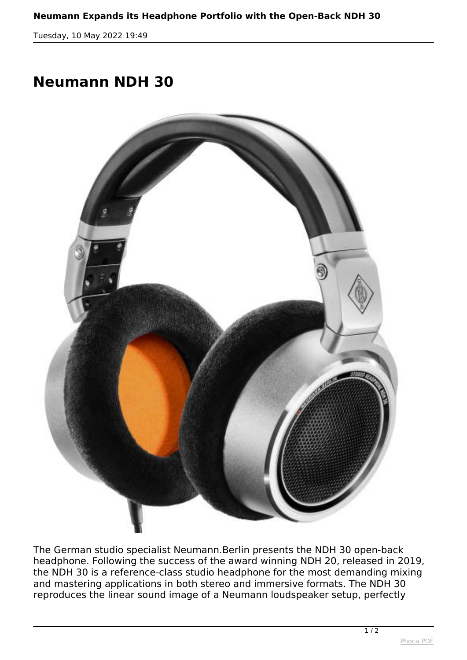*Tuesday, 10 May 2022 19:49*

## **Neumann NDH 30**



*The German studio specialist Neumann.Berlin presents the NDH 30 open-back headphone. Following the success of the award winning NDH 20, released in 2019, the NDH 30 is a reference-class studio headphone for the most demanding mixing and mastering applications in both stereo and immersive formats. The NDH 30 reproduces the linear sound image of a Neumann loudspeaker setup, perfectly*